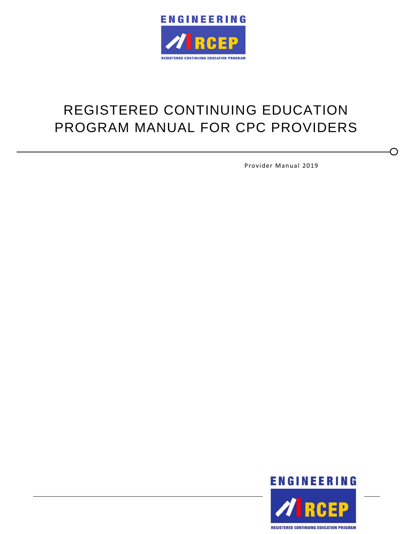

# REGISTERED CONTINUING EDUCATION PROGRAM MANUAL FOR CPC PROVIDERS

Provider Manual 2019

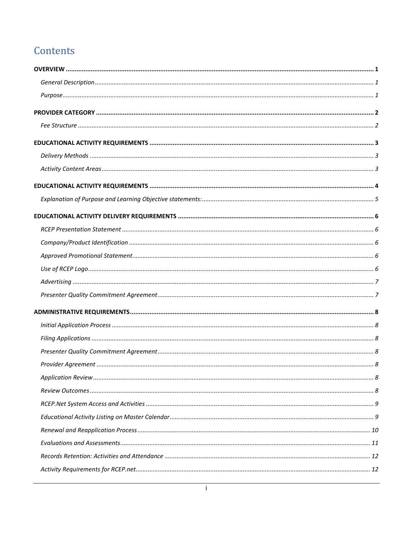# Contents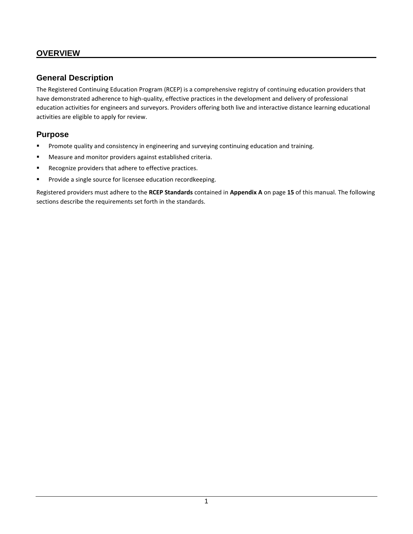#### <span id="page-3-0"></span>**OVERVIEW**

#### <span id="page-3-1"></span>**General Description**

The Registered Continuing Education Program (RCEP) is a comprehensive registry of continuing education providers that have demonstrated adherence to high-quality, effective practices in the development and delivery of professional education activities for engineers and surveyors. Providers offering both live and interactive distance learning educational activities are eligible to apply for review.

#### <span id="page-3-2"></span>**Purpose**

- Promote quality and consistency in engineering and surveying continuing education and training.
- Measure and monitor providers against established criteria.
- Recognize providers that adhere to effective practices.
- Provide a single source for licensee education recordkeeping.

Registered providers must adhere to the **RCEP Standards** contained in **Appendix A** on page **15** of this manual. The following sections describe the requirements set forth in the standards.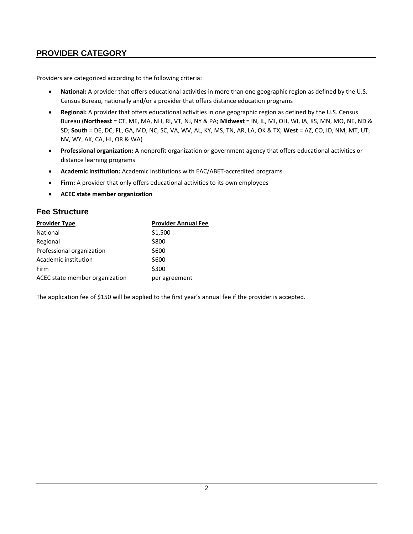# <span id="page-4-0"></span>**PROVIDER CATEGORY**

Providers are categorized according to the following criteria:

- **National:** A provider that offers educational activities in more than one geographic region as defined by the U.S. Census Bureau, nationally and/or a provider that offers distance education programs
- **Regional:** A provider that offers educational activities in one geographic region as defined by the U.S. Census Bureau (**Northeast** = CT, ME, MA, NH, RI, VT, NJ, NY & PA; **Midwest** = IN, IL, MI, OH, WI, IA, KS, MN, MO, NE, ND & SD; **South** = DE, DC, FL, GA, MD, NC, SC, VA, WV, AL, KY, MS, TN, AR, LA, OK & TX; **West** = AZ, CO, ID, NM, MT, UT, NV, WY, AK, CA, HI, OR & WA)
- **Professional organization:** A nonprofit organization or government agency that offers educational activities or distance learning programs
- **Academic institution:** Academic institutions with EAC/ABET-accredited programs
- **Firm:** A provider that only offers educational activities to its own employees
- **ACEC state member organization**

#### <span id="page-4-1"></span>**Fee Structure**

| <b>Provider Type</b>           | <b>Provider Annual Fee</b> |
|--------------------------------|----------------------------|
| National                       | \$1,500                    |
| Regional                       | \$800                      |
| Professional organization      | \$600                      |
| Academic institution           | \$600                      |
| Firm                           | \$300                      |
| ACEC state member organization | per agreement              |

The application fee of \$150 will be applied to the first year's annual fee if the provider is accepted.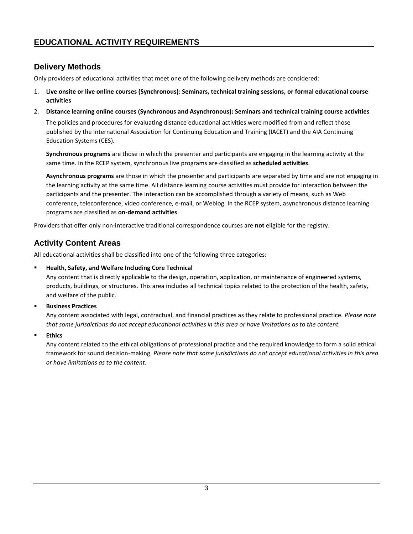# <span id="page-5-0"></span>**EDUCATIONAL ACTIVITY REQUIREMENTS**

# <span id="page-5-1"></span>**Delivery Methods**

Only providers of educational activities that meet one of the following delivery methods are considered:

- 1. **Live onsite or live online courses (Synchronous)**: **Seminars, technical training sessions, or formal educational course activities**
- 2. **Distance learning online courses (Synchronous and Asynchronous): Seminars and technical training course activities**

The policies and procedures for evaluating distance educational activities were modified from and reflect those published by the International Association for Continuing Education and Training (IACET) and the AIA Continuing Education Systems (CES).

**Synchronous programs** are those in which the presenter and participants are engaging in the learning activity at the same time. In the RCEP system, synchronous live programs are classified as **scheduled activities**.

**Asynchronous programs** are those in which the presenter and participants are separated by time and are not engaging in the learning activity at the same time. All distance learning course activities must provide for interaction between the participants and the presenter. The interaction can be accomplished through a variety of means, such as Web conference, teleconference, video conference, e-mail, or Weblog. In the RCEP system, asynchronous distance learning programs are classified as **on-demand activities**.

Providers that offer only non-interactive traditional correspondence courses are **not** eligible for the registry.

#### <span id="page-5-2"></span>**Activity Content Areas**

All educational activities shall be classified into one of the following three categories:

**Health, Safety, and Welfare Including Core Technical** 

Any content that is directly applicable to the design, operation, application, or maintenance of engineered systems, products, buildings, or structures. This area includes all technical topics related to the protection of the health, safety, and welfare of the public.

**Business Practices** 

Any content associated with legal, contractual, and financial practices as they relate to professional practice. *Please note that some jurisdictions do not accept educational activities in this area or have limitations as to the content.* 

▪ **Ethics**

Any content related to the ethical obligations of professional practice and the required knowledge to form a solid ethical framework for sound decision-making. *Please note that some jurisdictions do not accept educational activities in this area or have limitations as to the content.*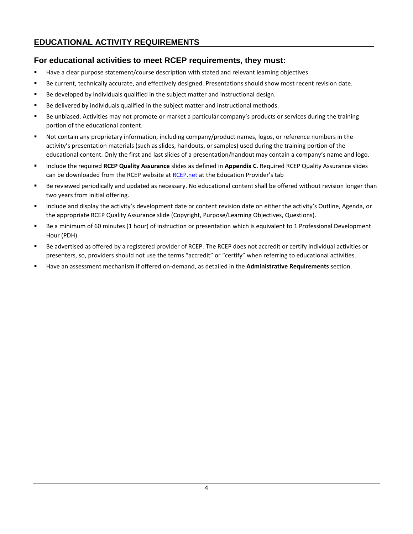# <span id="page-6-0"></span>**EDUCATIONAL ACTIVITY REQUIREMENTS**

#### **For educational activities to meet RCEP requirements, they must:**

- Have a clear purpose statement/course description with stated and relevant learning objectives.
- Be current, technically accurate, and effectively designed. Presentations should show most recent revision date.
- Be developed by individuals qualified in the subject matter and instructional design.
- Be delivered by individuals qualified in the subject matter and instructional methods.
- Be unbiased. Activities may not promote or market a particular company's products or services during the training portion of the educational content.
- Not contain any proprietary information, including company/product names, logos, or reference numbers in the activity's presentation materials (such as slides, handouts, or samples) used during the training portion of the educational content. Only the first and last slides of a presentation/handout may contain a company's name and logo.
- Include the required **RCEP Quality Assurance** slides as defined in **Appendix C**. Required RCEP Quality Assurance slides can be downloaded from the RCEP website at [RCEP.net](https://www.rcep.net/) at the Education Provider's tab
- Be reviewed periodically and updated as necessary. No educational content shall be offered without revision longer than two years from initial offering.
- Include and display the activity's development date or content revision date on either the activity's Outline, Agenda, or the appropriate RCEP Quality Assurance slide (Copyright, Purpose/Learning Objectives, Questions).
- Be a minimum of 60 minutes (1 hour) of instruction or presentation which is equivalent to 1 Professional Development Hour (PDH).
- Be advertised as offered by a registered provider of RCEP. The RCEP does not accredit or certify individual activities or presenters, so, providers should not use the terms "accredit" or "certify" when referring to educational activities.
- Have an assessment mechanism if offered on-demand, as detailed in the **Administrative Requirements** section.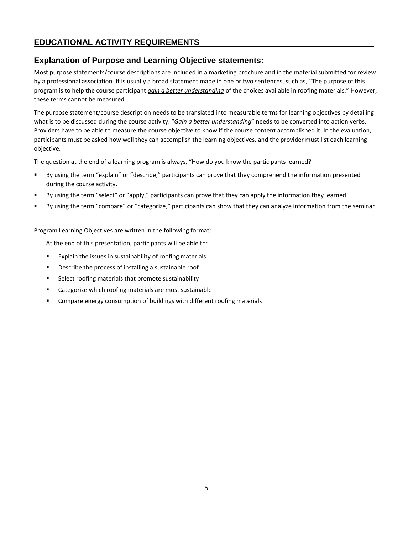# **EDUCATIONAL ACTIVITY REQUIREMENTS**

#### <span id="page-7-0"></span>**Explanation of Purpose and Learning Objective statements:**

Most purpose statements/course descriptions are included in a marketing brochure and in the material submitted for review by a professional association. It is usually a broad statement made in one or two sentences, such as, "The purpose of this program is to help the course participant *gain a better understanding* of the choices available in roofing materials." However, these terms cannot be measured.

The purpose statement/course description needs to be translated into measurable terms for learning objectives by detailing what is to be discussed during the course activity. "*Gain a better understanding*" needs to be converted into action verbs. Providers have to be able to measure the course objective to know if the course content accomplished it. In the evaluation, participants must be asked how well they can accomplish the learning objectives, and the provider must list each learning objective.

The question at the end of a learning program is always, "How do you know the participants learned?

- By using the term "explain" or "describe," participants can prove that they comprehend the information presented during the course activity.
- By using the term "select" or "apply," participants can prove that they can apply the information they learned.
- By using the term "compare" or "categorize," participants can show that they can analyze information from the seminar.

Program Learning Objectives are written in the following format:

At the end of this presentation, participants will be able to:

- Explain the issues in sustainability of roofing materials
- Describe the process of installing a sustainable roof
- Select roofing materials that promote sustainability
- Categorize which roofing materials are most sustainable
- Compare energy consumption of buildings with different roofing materials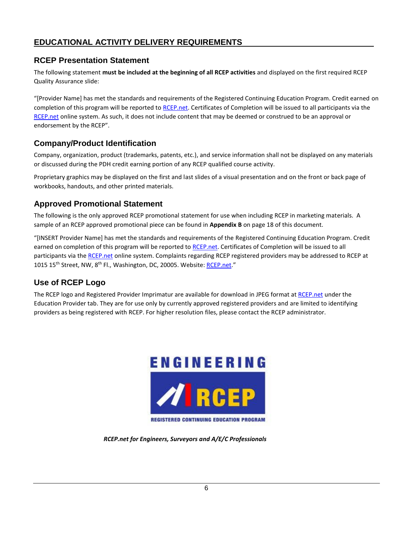# <span id="page-8-0"></span>**EDUCATIONAL ACTIVITY DELIVERY REQUIREMENTS**

#### <span id="page-8-1"></span>**RCEP Presentation Statement**

The following statement **must be included at the beginning of all RCEP activities** and displayed on the first required RCEP Quality Assurance slide:

"[Provider Name] has met the standards and requirements of the Registered Continuing Education Program. Credit earned on completion of this program will be reported t[o RCEP.net.](https://www.rcep.net/) Certificates of Completion will be issued to all participants via the [RCEP.net](https://www.rcep.net/) online system. As such, it does not include content that may be deemed or construed to be an approval or endorsement by the RCEP".

# <span id="page-8-2"></span>**Company/Product Identification**

Company, organization, product (trademarks, patents, etc.), and service information shall not be displayed on any materials or discussed during the PDH credit earning portion of any RCEP qualified course activity.

Proprietary graphics may be displayed on the first and last slides of a visual presentation and on the front or back page of workbooks, handouts, and other printed materials.

#### <span id="page-8-3"></span>**Approved Promotional Statement**

The following is the only approved RCEP promotional statement for use when including RCEP in marketing materials. A sample of an RCEP approved promotional piece can be found in **Appendix B** on pag[e 18](#page-20-1) of this document.

"[INSERT Provider Name] has met the standards and requirements of the Registered Continuing Education Program. Credit earned on completion of this program will be reported t[o RCEP.net.](https://www.rcep.net/) Certificates of Completion will be issued to all participants via th[e RCEP.net](https://www.rcep.net/) online system. Complaints regarding RCEP registered providers may be addressed to RCEP at 1015 15<sup>th</sup> Street, NW, 8<sup>th</sup> Fl., Washington, DC, 20005. Website[: RCEP.net.](https://www.rcep.net/)"

# <span id="page-8-4"></span>**Use of RCEP Logo**

The RCEP logo and Registered Provider Imprimatur are available for download in JPEG format at [RCEP.net](https://www.rcep.net/) under the Education Provider tab. They are for use only by currently approved registered providers and are limited to identifying providers as being registered with RCEP. For higher resolution files, please contact the RCEP administrator.



*RCEP.net for Engineers, Surveyors and A/E/C Professionals*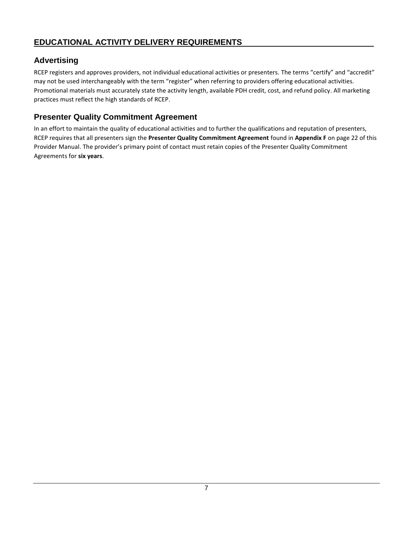# <span id="page-9-0"></span>**Advertising**

RCEP registers and approves providers, not individual educational activities or presenters. The terms "certify" and "accredit" may not be used interchangeably with the term "register" when referring to providers offering educational activities. Promotional materials must accurately state the activity length, available PDH credit, cost, and refund policy. All marketing practices must reflect the high standards of RCEP.

# <span id="page-9-1"></span>**Presenter Quality Commitment Agreement**

In an effort to maintain the quality of educational activities and to further the qualifications and reputation of presenters, RCEP requires that all presenters sign the **Presenter Quality Commitment Agreement** found in **Appendix F** on page 22 of this Provider Manual. The provider's primary point of contact must retain copies of the Presenter Quality Commitment Agreements for **six years**.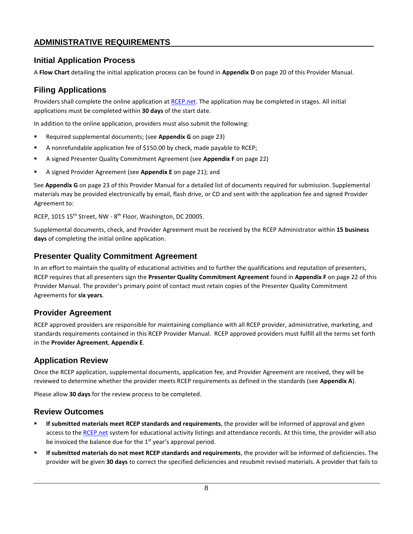#### <span id="page-10-0"></span>**ADMINISTRATIVE REQUIREMENTS**

#### <span id="page-10-1"></span>**Initial Application Process**

A **Flow Chart** detailing the initial application process can be found in **Appendix D** on page 20 of this Provider Manual.

#### <span id="page-10-2"></span>**Filing Applications**

Providers shall complete the online application a[t RCEP.net.](https://www.rcep.net/) The application may be completed in stages. All initial applications must be completed within **30 days** of the start date.

In addition to the online application, providers must also submit the following:

- Required supplemental documents; (see **Appendix G** on page 23)
- A nonrefundable application fee of \$150.00 by check, made payable to RCEP;
- A signed Presenter Quality Commitment Agreement (see **Appendix F** on page 22)
- A signed Provider Agreement (see **Appendix E** on page 21); and

See **Appendix G** on pag[e 23](#page-25-1) of this Provider Manual for a detailed list of documents required for submission. Supplemental materials may be provided electronically by email, flash drive, or CD and sent with the application fee and signed Provider Agreement to:

RCEP, 1015 15<sup>th</sup> Street, NW - 8<sup>th</sup> Floor, Washington, DC 20005.

Supplemental documents, check, and Provider Agreement must be received by the RCEP Administrator within **15 business days** of completing the initial online application.

#### <span id="page-10-3"></span>**Presenter Quality Commitment Agreement**

In an effort to maintain the quality of educational activities and to further the qualifications and reputation of presenters, RCEP requires that all presenters sign the **Presenter Quality Commitment Agreement** found in **Appendix F** on page 22 of this Provider Manual. The provider's primary point of contact must retain copies of the Presenter Quality Commitment Agreements for **six years**.

#### <span id="page-10-4"></span>**Provider Agreement**

RCEP approved providers are responsible for maintaining compliance with all RCEP provider, administrative, marketing, and standards requirements contained in this RCEP Provider Manual. RCEP approved providers must fulfill all the terms set forth in the **Provider Agreement**, **Appendix E**.

#### <span id="page-10-5"></span>**Application Review**

Once the RCEP application, supplemental documents, application fee, and Provider Agreement are received, they will be reviewed to determine whether the provider meets RCEP requirements as defined in the standards (see **Appendix A**).

Please allow **30 days** for the review process to be completed.

#### <span id="page-10-6"></span>**Review Outcomes**

- **If submitted materials meet RCEP standards and requirements**, the provider will be informed of approval and given access to th[e RCEP.net](https://www.rcep.net/) system for educational activity listings and attendance records. At this time, the provider will also be invoiced the balance due for the  $1<sup>st</sup>$  year's approval period.
- **If submitted materials do not meet RCEP standards and requirements**, the provider will be informed of deficiencies. The provider will be given **30 days** to correct the specified deficiencies and resubmit revised materials. A provider that fails to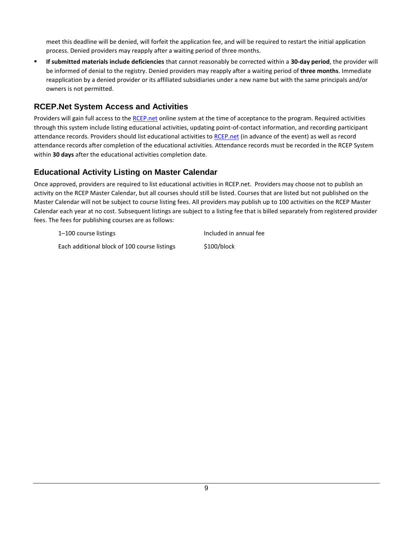meet this deadline will be denied, will forfeit the application fee, and will be required to restart the initial application process. Denied providers may reapply after a waiting period of three months.

▪ **If submitted materials include deficiencies** that cannot reasonably be corrected within a **30-day period**, the provider will be informed of denial to the registry. Denied providers may reapply after a waiting period of **three months**. Immediate reapplication by a denied provider or its affiliated subsidiaries under a new name but with the same principals and/or owners is not permitted.

## <span id="page-11-0"></span>**RCEP.Net System Access and Activities**

Providers will gain full access to the [RCEP.net](https://www.rcep.net/) online system at the time of acceptance to the program. Required activities through this system include listing educational activities, updating point-of-contact information, and recording participant attendance records. Providers should list educational activities t[o RCEP.net](https://www.rcep.net/) (in advance of the event) as well as record attendance records after completion of the educational activities. Attendance records must be recorded in the RCEP System within **30 days** after the educational activities completion date.

#### <span id="page-11-1"></span>**Educational Activity Listing on Master Calendar**

Once approved, providers are required to list educational activities in RCEP.net. Providers may choose not to publish an activity on the RCEP Master Calendar, but all courses should still be listed. Courses that are listed but not published on the Master Calendar will not be subject to course listing fees. All providers may publish up to 100 activities on the RCEP Master Calendar each year at no cost. Subsequent listings are subject to a listing fee that is billed separately from registered provider fees. The fees for publishing courses are as follows:

1-100 course listings Theorem 2012 and the line of the line of the line of the line of the line of the line of the line of the line of the line of the line of the line of the line of the line of the line of the line of the Each additional block of 100 course listings \$100/block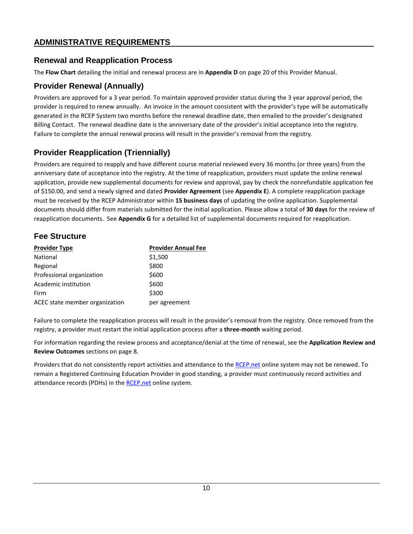# **ADMINISTRATIVE REQUIREMENTS**

#### <span id="page-12-0"></span>**Renewal and Reapplication Process**

The **Flow Chart** detailing the initial and renewal process are in **Appendix D** on page 20 of this Provider Manual.

#### **Provider Renewal (Annually)**

Providers are approved for a 3 year period. To maintain approved provider status during the 3 year approval period, the provider is required to renew annually. An invoice in the amount consistent with the provider's type will be automatically generated in the RCEP System two months before the renewal deadline date, then emailed to the provider's designated Billing Contact. The renewal deadline date is the anniversary date of the provider's initial acceptance into the registry. Failure to complete the annual renewal process will result in the provider's removal from the registry.

# **Provider Reapplication (Triennially)**

Providers are required to reapply and have different course material reviewed every 36 months (or three years) from the anniversary date of acceptance into the registry. At the time of reapplication, providers must update the online renewal application, provide new supplemental documents for review and approval, pay by check the nonrefundable application fee of \$150.00, and send a newly signed and dated **Provider Agreement** (see **Appendix E**). A complete reapplication package must be received by the RCEP Administrator within **15 business days** of updating the online application. Supplemental documents should differ from materials submitted for the initial application. Please allow a total of **30 days** for the review of reapplication documents. See **Appendix G** for a detailed list of supplemental documents required for reapplication.

# **Fee Structure**

| <b>Provider Type</b>           | <b>Provider Annual Fee</b> |
|--------------------------------|----------------------------|
| National                       | \$1,500                    |
| Regional                       | \$800                      |
| Professional organization      | \$600                      |
| Academic institution           | \$600                      |
| Firm                           | \$300                      |
| ACEC state member organization | per agreement              |

Failure to complete the reapplication process will result in the provider's removal from the registry. Once removed from the registry, a provider must restart the initial application process after a **three-month** waiting period.

For information regarding the review process and acceptance/denial at the time of renewal, see the **Application Review and Review Outcomes** sections on page 8.

Providers that do not consistently report activities and attendance to the [RCEP.net](https://www.rcep.net/) online system may not be renewed. To remain a Registered Continuing Education Provider in good standing, a provider must continuously record activities and attendance records (PDHs) in the [RCEP.net](https://www.rcep.net/) online system.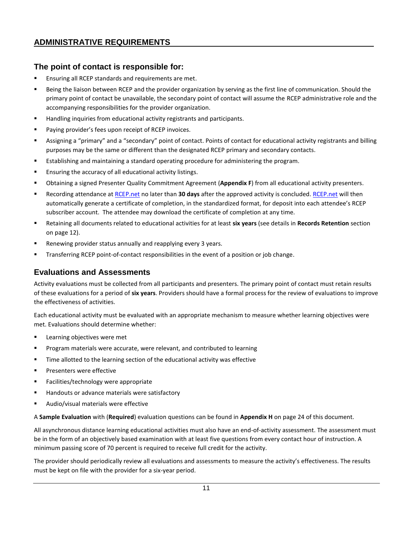## **The point of contact is responsible for:**

- Ensuring all RCEP standards and requirements are met.
- Being the liaison between RCEP and the provider organization by serving as the first line of communication. Should the primary point of contact be unavailable, the secondary point of contact will assume the RCEP administrative role and the accompanying responsibilities for the provider organization.
- Handling inquiries from educational activity registrants and participants.
- Paying provider's fees upon receipt of RCEP invoices.
- Assigning a "primary" and a "secondary" point of contact. Points of contact for educational activity registrants and billing purposes may be the same or different than the designated RCEP primary and secondary contacts.
- Establishing and maintaining a standard operating procedure for administering the program.
- Ensuring the accuracy of all educational activity listings.
- **E** Obtaining a signed Presenter Quality Commitment Agreement (**Appendix F**) from all educational activity presenters.
- Recording attendance a[t RCEP.net](https://www.rcep.net/) no later than 30 days after the approved activity is concluded. [RCEP.net](https://www.rcep.net/) will then automatically generate a certificate of completion, in the standardized format, for deposit into each attendee's RCEP subscriber account. The attendee may download the certificate of completion at any time.
- Retaining all documents related to educational activities for at least **six years** (see details in **Records Retention** section on page [12\)](#page-14-0).
- Renewing provider status annually and reapplying every 3 years.
- Transferring RCEP point-of-contact responsibilities in the event of a position or job change.

#### <span id="page-13-0"></span>**Evaluations and Assessments**

Activity evaluations must be collected from all participants and presenters. The primary point of contact must retain results of these evaluations for a period of **six years**. Providers should have a formal process for the review of evaluations to improve the effectiveness of activities.

Each educational activity must be evaluated with an appropriate mechanism to measure whether learning objectives were met. Evaluations should determine whether:

- Learning objectives were met
- **•** Program materials were accurate, were relevant, and contributed to learning
- **■** Time allotted to the learning section of the educational activity was effective
- Presenters were effective
- Facilities/technology were appropriate
- Handouts or advance materials were satisfactory
- Audio/visual materials were effective

A **Sample Evaluation** with (**Required**) evaluation questions can be found in **Appendix H** on pag[e 24](#page-26-1) of this document.

All asynchronous distance learning educational activities must also have an end-of-activity assessment. The assessment must be in the form of an objectively based examination with at least five questions from every contact hour of instruction. A minimum passing score of 70 percent is required to receive full credit for the activity.

The provider should periodically review all evaluations and assessments to measure the activity's effectiveness. The results must be kept on file with the provider for a six-year period.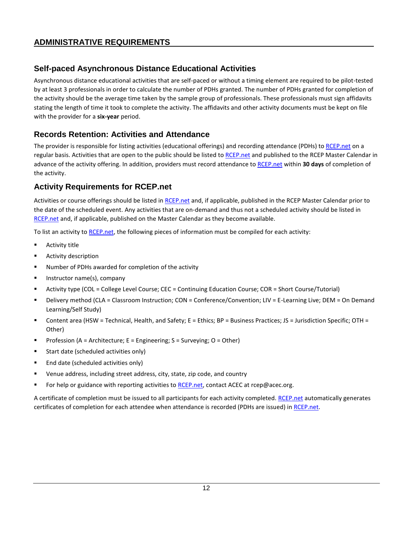# **Self-paced Asynchronous Distance Educational Activities**

Asynchronous distance educational activities that are self-paced or without a timing element are required to be pilot-tested by at least 3 professionals in order to calculate the number of PDHs granted. The number of PDHs granted for completion of the activity should be the average time taken by the sample group of professionals. These professionals must sign affidavits stating the length of time it took to complete the activity. The affidavits and other activity documents must be kept on file with the provider for a **six-year** period.

#### <span id="page-14-0"></span>**Records Retention: Activities and Attendance**

The provider is responsible for listing activities (educational offerings) and recording attendance (PDHs) to [RCEP.net](https://www.rcep.net/) on a regular basis. Activities that are open to the public should be listed to [RCEP.net](https://www.rcep.net/) and published to the RCEP Master Calendar in advance of the activity offering. In addition, providers must record attendance to [RCEP.net](https://www.rcep.net/) within **30 days** of completion of the activity.

#### <span id="page-14-1"></span>**Activity Requirements for RCEP.net**

Activities or course offerings should be listed in [RCEP.net](https://www.rcep.net/) and, if applicable, published in the RCEP Master Calendar prior to the date of the scheduled event. Any activities that are on-demand and thus not a scheduled activity should be listed in [RCEP.net](https://www.rcep.net/) and, if applicable, published on the Master Calendar as they become available.

To list an activity t[o RCEP.net,](https://www.rcep.net/) the following pieces of information must be compiled for each activity:

- Activity title
- Activity description
- Number of PDHs awarded for completion of the activity
- Instructor name(s), company
- Activity type (COL = College Level Course; CEC = Continuing Education Course; COR = Short Course/Tutorial)
- Delivery method (CLA = Classroom Instruction; CON = Conference/Convention; LIV = E-Learning Live; DEM = On Demand Learning/Self Study)
- Content area (HSW = Technical, Health, and Safety; E = Ethics; BP = Business Practices; JS = Jurisdiction Specific; OTH = Other)
- Profession (A = Architecture; E = Engineering; S = Surveying; O = Other)
- Start date (scheduled activities only)
- End date (scheduled activities only)
- Venue address, including street address, city, state, zip code, and country
- For help or guidance with reporting activities to [RCEP.net,](https://www.rcep.net/) contact ACEC at rcep@acec.org.

A certificate of completion must be issued to all participants for each activity completed. [RCEP.net](https://www.rcep.net/) automatically generates certificates of completion for each attendee when attendance is recorded (PDHs are issued) i[n RCEP.net.](https://www.rcep.net/)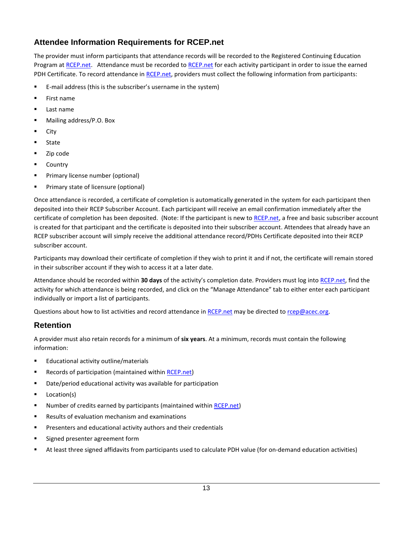# <span id="page-15-0"></span>**Attendee Information Requirements for RCEP.net**

The provider must inform participants that attendance records will be recorded to the Registered Continuing Education Program at [RCEP.net.](https://www.rcep.net/) Attendance must be recorded to [RCEP.net](https://www.rcep.net/) for each activity participant in order to issue the earned PDH Certificate. To record attendance in [RCEP.net,](https://www.rcep.net/) providers must collect the following information from participants:

- E-mail address (this is the subscriber's username in the system)
- First name
- Last name
- Mailing address/P.O. Box
- City
- **State**
- Zip code
- **Country**
- **•** Primary license number (optional)
- Primary state of licensure (optional)

Once attendance is recorded, a certificate of completion is automatically generated in the system for each participant then deposited into their RCEP Subscriber Account. Each participant will receive an email confirmation immediately after the certificate of completion has been deposited. (Note: If the participant is new t[o RCEP.net,](https://www.rcep.net/) a free and basic subscriber account is created for that participant and the certificate is deposited into their subscriber account. Attendees that already have an RCEP subscriber account will simply receive the additional attendance record/PDHs Certificate deposited into their RCEP subscriber account.

Participants may download their certificate of completion if they wish to print it and if not, the certificate will remain stored in their subscriber account if they wish to access it at a later date.

Attendance should be recorded within **30 days** of the activity's completion date. Providers must log into [RCEP.net,](https://www.rcep.net/) find the activity for which attendance is being recorded, and click on the "Manage Attendance" tab to either enter each participant individually or import a list of participants.

Questions about how to list activities and record attendance in [RCEP.net](https://www.rcep.net/) may be directed to [rcep@acec.org.](mailto:rcep@acec.org)

#### **Retention**

A provider must also retain records for a minimum of **six years**. At a minimum, records must contain the following information:

- Educational activity outline/materials
- Records of participation (maintained withi[n RCEP.net\)](https://www.rcep.net/)
- Date/period educational activity was available for participation
- Location(s)
- Number of credits earned by participants (maintained withi[n RCEP.net\)](https://www.rcep.net/)
- Results of evaluation mechanism and examinations
- Presenters and educational activity authors and their credentials
- Signed presenter agreement form
- At least three signed affidavits from participants used to calculate PDH value (for on-demand education activities)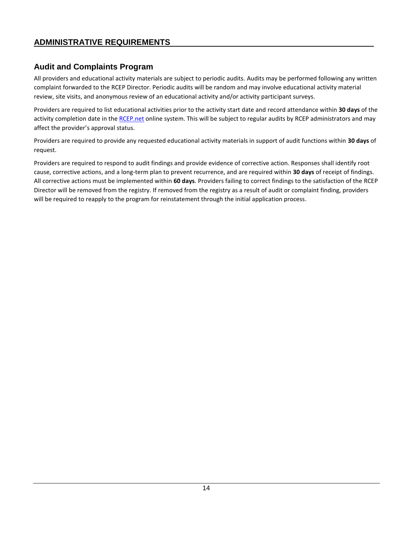# <span id="page-16-0"></span>**Audit and Complaints Program**

All providers and educational activity materials are subject to periodic audits. Audits may be performed following any written complaint forwarded to the RCEP Director. Periodic audits will be random and may involve educational activity material review, site visits, and anonymous review of an educational activity and/or activity participant surveys.

Providers are required to list educational activities prior to the activity start date and record attendance within **30 days** of the activity completion date in th[e RCEP.net](https://www.rcep.net/) online system. This will be subject to regular audits by RCEP administrators and may affect the provider's approval status.

Providers are required to provide any requested educational activity materials in support of audit functions within **30 days** of request.

Providers are required to respond to audit findings and provide evidence of corrective action. Responses shall identify root cause, corrective actions, and a long-term plan to prevent recurrence, and are required within **30 days** of receipt of findings. All corrective actions must be implemented within **60 days**. Providers failing to correct findings to the satisfaction of the RCEP Director will be removed from the registry. If removed from the registry as a result of audit or complaint finding, providers will be required to reapply to the program for reinstatement through the initial application process.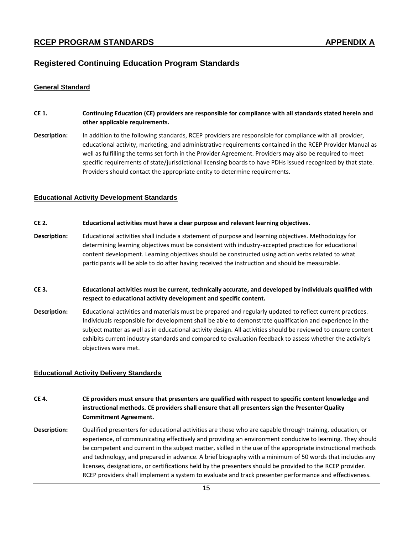#### <span id="page-17-0"></span>**Registered Continuing Education Program Standards**

#### <span id="page-17-1"></span>**General Standard**

- **CE 1. Continuing Education (CE) providers are responsible for compliance with all standards stated herein and other applicable requirements.**
- **Description:** In addition to the following standards, RCEP providers are responsible for compliance with all provider, educational activity, marketing, and administrative requirements contained in the RCEP Provider Manual as well as fulfilling the terms set forth in the Provider Agreement. Providers may also be required to meet specific requirements of state/jurisdictional licensing boards to have PDHs issued recognized by that state. Providers should contact the appropriate entity to determine requirements.

#### <span id="page-17-2"></span>**Educational Activity Development Standards**

#### **CE 2. Educational activities must have a clear purpose and relevant learning objectives.**

- **Description:** Educational activities shall include a statement of purpose and learning objectives. Methodology for determining learning objectives must be consistent with industry-accepted practices for educational content development. Learning objectives should be constructed using action verbs related to what participants will be able to do after having received the instruction and should be measurable.
- **CE 3. Educational activities must be current, technically accurate, and developed by individuals qualified with respect to educational activity development and specific content.**
- **Description:** Educational activities and materials must be prepared and regularly updated to reflect current practices. Individuals responsible for development shall be able to demonstrate qualification and experience in the subject matter as well as in educational activity design. All activities should be reviewed to ensure content exhibits current industry standards and compared to evaluation feedback to assess whether the activity's objectives were met.

#### <span id="page-17-3"></span>**Educational Activity Delivery Standards**

- **CE 4. CE providers must ensure that presenters are qualified with respect to specific content knowledge and instructional methods. CE providers shall ensure that all presenters sign the Presenter Quality Commitment Agreement.**
- **Description:** Qualified presenters for educational activities are those who are capable through training, education, or experience, of communicating effectively and providing an environment conducive to learning. They should be competent and current in the subject matter, skilled in the use of the appropriate instructional methods and technology, and prepared in advance. A brief biography with a minimum of 50 words that includes any licenses, designations, or certifications held by the presenters should be provided to the RCEP provider. RCEP providers shall implement a system to evaluate and track presenter performance and effectiveness.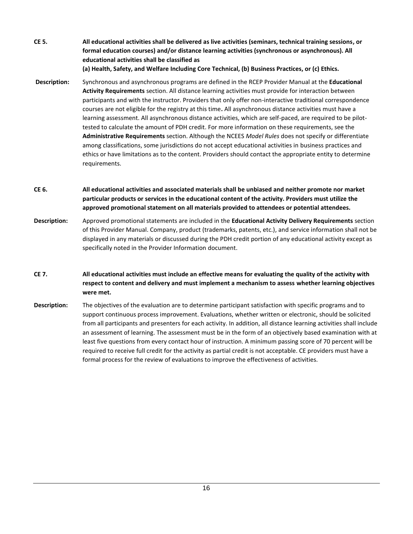**CE 5. All educational activities shall be delivered as live activities (seminars, technical training sessions, or formal education courses) and/or distance learning activities (synchronous or asynchronous). All educational activities shall be classified as (a) Health, Safety, and Welfare Including Core Technical, (b) Business Practices, or (c) Ethics.**

- **Description:** Synchronous and asynchronous programs are defined in the RCEP Provider Manual at the **Educational Activity Requirements** section. All distance learning activities must provide for interaction between participants and with the instructor. Providers that only offer non-interactive traditional correspondence courses are not eligible for the registry at this time**.** All asynchronous distance activities must have a learning assessment. All asynchronous distance activities, which are self-paced, are required to be pilottested to calculate the amount of PDH credit. For more information on these requirements, see the **Administrative Requirements** section. Although the NCEES *Model Rules* does not specify or differentiate among classifications, some jurisdictions do not accept educational activities in business practices and ethics or have limitations as to the content. Providers should contact the appropriate entity to determine requirements.
- **CE 6. All educational activities and associated materials shall be unbiased and neither promote nor market particular products or services in the educational content of the activity. Providers must utilize the approved promotional statement on all materials provided to attendees or potential attendees.**
- **Description:** Approved promotional statements are included in the **Educational Activity Delivery Requirements** section of this Provider Manual. Company, product (trademarks, patents, etc.), and service information shall not be displayed in any materials or discussed during the PDH credit portion of any educational activity except as specifically noted in the Provider Information document.
- **CE 7. All educational activities must include an effective means for evaluating the quality of the activity with respect to content and delivery and must implement a mechanism to assess whether learning objectives were met.**
- **Description:** The objectives of the evaluation are to determine participant satisfaction with specific programs and to support continuous process improvement. Evaluations, whether written or electronic, should be solicited from all participants and presenters for each activity. In addition, all distance learning activities shall include an assessment of learning. The assessment must be in the form of an objectively based examination with at least five questions from every contact hour of instruction. A minimum passing score of 70 percent will be required to receive full credit for the activity as partial credit is not acceptable. CE providers must have a formal process for the review of evaluations to improve the effectiveness of activities.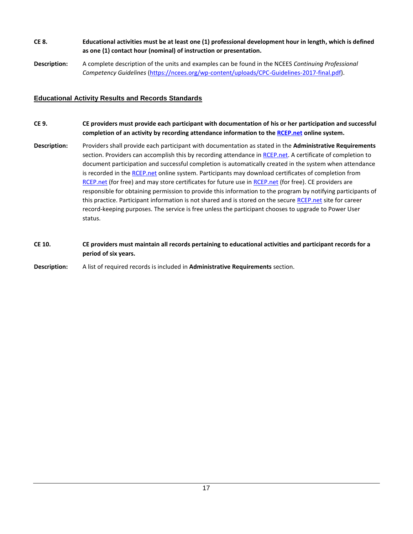- **CE 8. Educational activities must be at least one (1) professional development hour in length, which is defined as one (1) contact hour (nominal) of instruction or presentation.**
- **Description:** A complete description of the units and examples can be found in the NCEES *Continuing Professional Competency Guidelines* [\(https://ncees.org/wp-content/uploads/CPC-Guidelines-2017-final.pdf\)](https://ncees.org/wp-content/uploads/CPC-Guidelines-2017-final.pdf).

#### <span id="page-19-0"></span>**Educational Activity Results and Records Standards**

- **CE 9. CE providers must provide each participant with documentation of his or her participation and successful completion of an activity by recording attendance information to the [RCEP.net](https://www.rcep.net/) online system.**
- **Description:** Providers shall provide each participant with documentation as stated in the **Administrative Requirements** section. Providers can accomplish this by recording attendance in [RCEP.net.](https://www.rcep.net/) A certificate of completion to document participation and successful completion is automatically created in the system when attendance is recorded in th[e RCEP.net](https://www.rcep.net/) online system. Participants may download certificates of completion from [RCEP.net](https://www.rcep.net/) (for free) and may store certificates for future use in [RCEP.net](https://www.rcep.net/) (for free). CE providers are responsible for obtaining permission to provide this information to the program by notifying participants of this practice. Participant information is not shared and is stored on the secur[e RCEP.net](https://www.rcep.net/) site for career record-keeping purposes. The service is free unless the participant chooses to upgrade to Power User status.
- **CE 10. CE providers must maintain all records pertaining to educational activities and participant records for a period of six years.**

**Description:** A list of required records is included in **Administrative Requirements** section.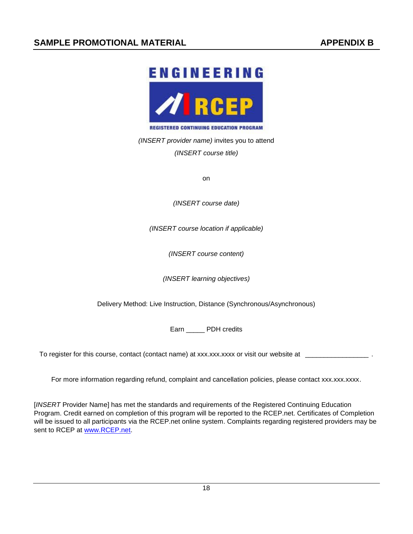# <span id="page-20-0"></span>**ENGINEERING**  $\bullet$

**REGISTERED CONTINUING EDUCATION PROGRAM** 

<span id="page-20-1"></span>*(INSERT provider name)* invites you to attend *(INSERT course title)*

on

*(INSERT course date)*

*(INSERT course location if applicable)*

*(INSERT course content)*

*(INSERT learning objectives)*

Delivery Method: Live Instruction, Distance (Synchronous/Asynchronous)

Earn PDH credits

To register for this course, contact (contact name) at xxx.xxx.xxx or visit our website at \_

For more information regarding refund, complaint and cancellation policies, please contact xxx.xxx.xxxx.

[*INSERT* Provider Name] has met the standards and requirements of the Registered Continuing Education Program. Credit earned on completion of this program will be reported to the RCEP.net. Certificates of Completion will be issued to all participants via the RCEP.net online system. Complaints regarding registered providers may be sent to RCEP at [www.RCEP.net.](http://www.rcep.net/)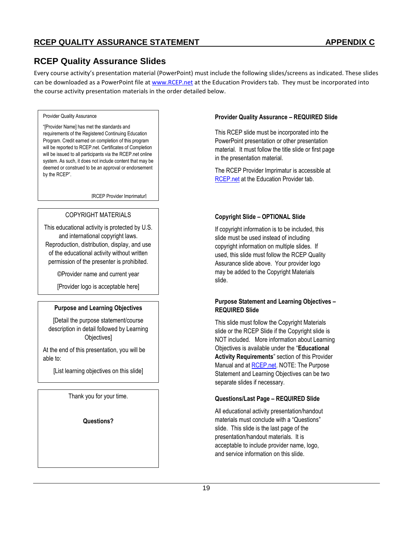# <span id="page-21-0"></span>**RCEP Quality Assurance Slides**

Every course activity's presentation material (PowerPoint) must include the following slides/screens as indicated. These slides can be downloaded as a PowerPoint file a[t www.RCEP.net](http://www.rcep.net/) at the Education Providers tab. They must be incorporated into the course activity presentation materials in the order detailed below.

#### Provider Quality Assurance

"[Provider Name] has met the standards and requirements of the Registered Continuing Education Program. Credit earned on completion of this program will be reported to RCEP.net. Certificates of Completion will be issued to all participants via the RCEP.net online system. As such, it does not include content that may be deemed or construed to be an approval or endorsement by the RCEP".

[RCEP Provider Imprimatur]

#### COPYRIGHT MATERIALS

This educational activity is protected by U.S. and international copyright laws. Reproduction, distribution, display, and use of the educational activity without written permission of the presenter is prohibited.

©Provider name and current year

[Provider logo is acceptable here]

#### **Purpose and Learning Objectives**

[Detail the purpose statement/course description in detail followed by Learning Objectives]

At the end of this presentation, you will be able to:

[List learning objectives on this slide]

Thank you for your time.

**Questions?**

<u>Provider Name</u><br>Name <sub>(</sub>

#### **Provider Quality Assurance – REQUIRED Slide**

This RCEP slide must be incorporated into the PowerPoint presentation or other presentation material. It must follow the title slide or first page in the presentation material.

The RCEP Provider Imprimatur is accessible at [RCEP.net](https://www.rcep.net/) at the Education Provider tab.

#### **Copyright Slide – OPTIONAL Slide**

If copyright information is to be included, this slide must be used instead of including copyright information on multiple slides. If used, this slide must follow the RCEP Quality Assurance slide above. Your provider logo may be added to the Copyright Materials slide.

#### **Purpose Statement and Learning Objectives – REQUIRED Slide**

This slide must follow the Copyright Materials slide or the RCEP Slide if the Copyright slide is NOT included. More information about Learning Objectives is available under the "**Educational Activity Requirements**" section of this Provider Manual and at [RCEP.net.](http://www.rcep.net/) NOTE: The Purpose Statement and Learning Objectives can be two separate slides if necessary.

#### **Questions/Last Page – REQUIRED Slide**

All educational activity presentation/handout materials must conclude with a "Questions" slide. This slide is the last page of the presentation/handout materials. It is acceptable to include provider name, logo, and service information on this slide.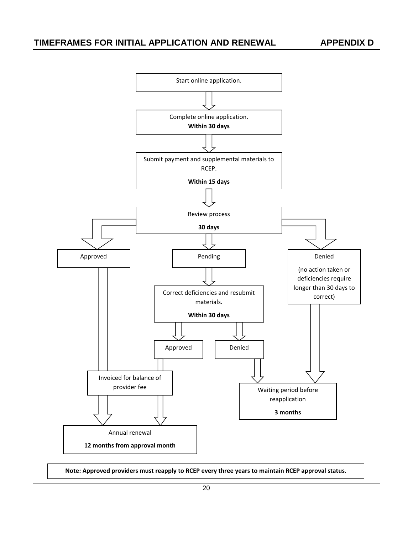<span id="page-22-0"></span>

**Note: Approved providers must reapply to RCEP every three years to maintain RCEP approval status.**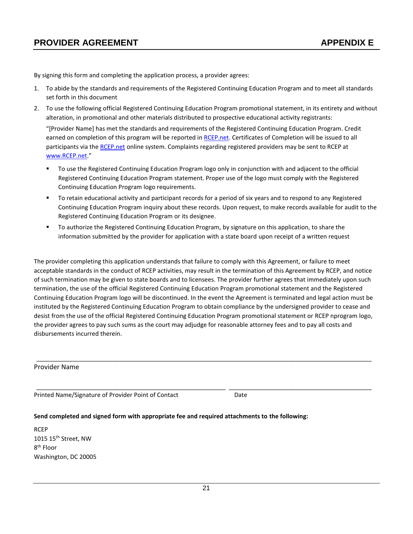<span id="page-23-0"></span>By signing this form and completing the application process, a provider agrees:

- 1. To abide by the standards and requirements of the Registered Continuing Education Program and to meet all standards set forth in this document
- 2. To use the following official Registered Continuing Education Program promotional statement, in its entirety and without alteration, in promotional and other materials distributed to prospective educational activity registrants:

"[Provider Name] has met the standards and requirements of the Registered Continuing Education Program. Credit earned on completion of this program will be reported in [RCEP.net.](https://www.rcep.net/) Certificates of Completion will be issued to all participants via the [RCEP.net](https://www.rcep.net/) online system. Complaints regarding registered providers may be sent to RCEP at [www.RCEP.net.](www.RCEP.net)"

- To use the Registered Continuing Education Program logo only in conjunction with and adjacent to the official Registered Continuing Education Program statement. Proper use of the logo must comply with the Registered Continuing Education Program logo requirements.
- To retain educational activity and participant records for a period of six years and to respond to any Registered Continuing Education Program inquiry about these records. Upon request, to make records available for audit to the Registered Continuing Education Program or its designee.
- To authorize the Registered Continuing Education Program, by signature on this application, to share the information submitted by the provider for application with a state board upon receipt of a written request

The provider completing this application understands that failure to comply with this Agreement, or failure to meet acceptable standards in the conduct of RCEP activities, may result in the termination of this Agreement by RCEP, and notice of such termination may be given to state boards and to licensees. The provider further agrees that immediately upon such termination, the use of the official Registered Continuing Education Program promotional statement and the Registered Continuing Education Program logo will be discontinued. In the event the Agreement is terminated and legal action must be instituted by the Registered Continuing Education Program to obtain compliance by the undersigned provider to cease and desist from the use of the official Registered Continuing Education Program promotional statement or RCEP nprogram logo, the provider agrees to pay such sums as the court may adjudge for reasonable attorney fees and to pay all costs and disbursements incurred therein.

\_\_\_\_\_\_\_\_\_\_\_\_\_\_\_\_\_\_\_\_\_\_\_\_\_\_\_\_\_\_\_\_\_\_\_\_\_\_\_\_\_\_\_\_\_\_\_\_\_\_\_\_\_\_\_\_\_\_\_\_\_\_\_\_\_\_\_\_\_\_\_\_\_\_\_\_\_\_\_\_\_\_\_\_\_\_\_\_\_\_\_\_\_\_\_\_\_\_\_\_\_

\_\_\_\_\_\_\_\_\_\_\_\_\_\_\_\_\_\_\_\_\_\_\_\_\_\_\_\_\_\_\_\_\_\_\_\_\_\_\_\_\_\_\_\_\_\_\_\_\_\_\_\_\_\_\_\_\_ \_\_\_\_\_\_\_\_\_\_\_\_\_\_\_\_\_\_\_\_\_\_\_\_\_\_\_\_\_\_\_\_\_\_\_\_\_\_\_\_\_\_\_

#### Provider Name

Printed Name/Signature of Provider Point of Contact Date

#### **Send completed and signed form with appropriate fee and required attachments to the following:**

**RCEP** 1015 15<sup>th</sup> Street, NW 8<sup>th</sup> Floor Washington, DC 20005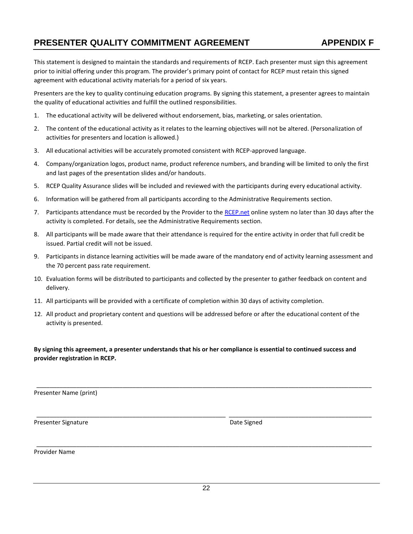# <span id="page-24-0"></span>**PRESENTER QUALITY COMMITMENT AGREEMENT APPENDIX F**

This statement is designed to maintain the standards and requirements of RCEP. Each presenter must sign this agreement prior to initial offering under this program. The provider's primary point of contact for RCEP must retain this signed agreement with educational activity materials for a period of six years.

Presenters are the key to quality continuing education programs. By signing this statement, a presenter agrees to maintain the quality of educational activities and fulfill the outlined responsibilities.

- 1. The educational activity will be delivered without endorsement, bias, marketing, or sales orientation.
- 2. The content of the educational activity as it relates to the learning objectives will not be altered. (Personalization of activities for presenters and location is allowed.)
- 3. All educational activities will be accurately promoted consistent with RCEP-approved language.
- 4. Company/organization logos, product name, product reference numbers, and branding will be limited to only the first and last pages of the presentation slides and/or handouts.
- 5. RCEP Quality Assurance slides will be included and reviewed with the participants during every educational activity.
- 6. Information will be gathered from all participants according to the Administrative Requirements section.
- 7. Participants attendance must be recorded by the Provider to the [RCEP.net](https://www.rcep.net/) online system no later than 30 days after the activity is completed. For details, see the Administrative Requirements section.
- 8. All participants will be made aware that their attendance is required for the entire activity in order that full credit be issued. Partial credit will not be issued.
- 9. Participants in distance learning activities will be made aware of the mandatory end of activity learning assessment and the 70 percent pass rate requirement.
- 10. Evaluation forms will be distributed to participants and collected by the presenter to gather feedback on content and delivery.
- 11. All participants will be provided with a certificate of completion within 30 days of activity completion.
- 12. All product and proprietary content and questions will be addressed before or after the educational content of the activity is presented.

**By signing this agreement, a presenter understands that his or her compliance is essential to continued success and provider registration in RCEP.**

\_\_\_\_\_\_\_\_\_\_\_\_\_\_\_\_\_\_\_\_\_\_\_\_\_\_\_\_\_\_\_\_\_\_\_\_\_\_\_\_\_\_\_\_\_\_\_\_\_\_\_\_\_\_\_\_\_\_\_\_\_\_\_\_\_\_\_\_\_\_\_\_\_\_\_\_\_\_\_\_\_\_\_\_\_\_\_\_\_\_\_\_\_\_\_\_\_\_\_\_\_

\_\_\_\_\_\_\_\_\_\_\_\_\_\_\_\_\_\_\_\_\_\_\_\_\_\_\_\_\_\_\_\_\_\_\_\_\_\_\_\_\_\_\_\_\_\_\_\_\_\_\_\_\_\_\_\_\_ \_\_\_\_\_\_\_\_\_\_\_\_\_\_\_\_\_\_\_\_\_\_\_\_\_\_\_\_\_\_\_\_\_\_\_\_\_\_\_\_\_\_\_

\_\_\_\_\_\_\_\_\_\_\_\_\_\_\_\_\_\_\_\_\_\_\_\_\_\_\_\_\_\_\_\_\_\_\_\_\_\_\_\_\_\_\_\_\_\_\_\_\_\_\_\_\_\_\_\_\_\_\_\_\_\_\_\_\_\_\_\_\_\_\_\_\_\_\_\_\_\_\_\_\_\_\_\_\_\_\_\_\_\_\_\_\_\_\_\_\_\_\_\_\_

Presenter Name (print)

Presenter Signature **Date Signed Date Signed** 

Provider Name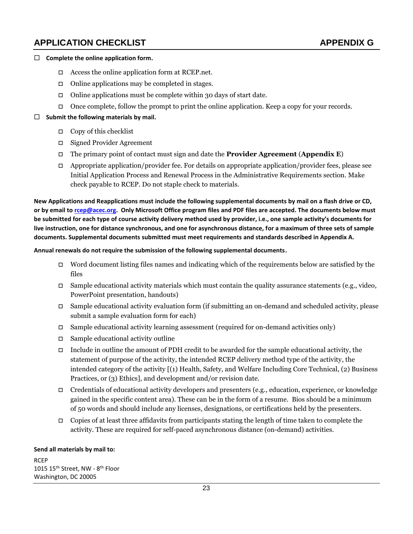# <span id="page-25-0"></span>**APPLICATION CHECKLIST APPENDIX G**

#### <span id="page-25-1"></span>**Complete the online application form.**

- $\Box$  Access the online application form at [RCEP.net.](https://www.rcep.net/)
- $\Box$  Online applications may be completed in stages.
- $\Box$  Online applications must be complete within 30 days of start date.
- Once complete, follow the prompt to print the online application. Keep a copy for your records.

#### **Submit the following materials by mail.**

- $\Box$  Copy of this checklist
- Signed Provider Agreement
- The primary point of contact must sign and date the **Provider Agreement** (**Appendix E**)
- $\Box$  Appropriate application/provider fee. For details on appropriate application/provider fees, please see Initial Application Process and Renewal Process in the Administrative Requirements section. Make check payable to RCEP. Do not staple check to materials.

**New Applications and Reapplications must include the following supplemental documents by mail on a flash drive or CD, or by email to [rcep@acec.org.](mailto:rcep@acec.org) Only Microsoft Office program files and PDF files are accepted. The documents below must be submitted for each type of course activity delivery method used by provider, i.e., one sample activity's documents for live instruction, one for distance synchronous, and one for asynchronous distance, for a maximum of three sets of sample documents. Supplemental documents submitted must meet requirements and standards described in Appendix A.** 

#### **Annual renewals do not require the submission of the following supplemental documents.**

- Word document listing files names and indicating which of the requirements below are satisfied by the files
- $\Box$  Sample educational activity materials which must contain the quality assurance statements (e.g., video, PowerPoint presentation, handouts)
- Sample educational activity evaluation form (if submitting an on-demand and scheduled activity, please submit a sample evaluation form for each)
- $\Box$  Sample educational activity learning assessment (required for on-demand activities only)
- $\Box$  Sample educational activity outline
- Include in outline the amount of PDH credit to be awarded for the sample educational activity, the statement of purpose of the activity, the intended RCEP delivery method type of the activity, the intended category of the activity [(1) Health, Safety, and Welfare Including Core Technical, (2) Business Practices, or (3) Ethics], and development and/or revision date.
- $\Box$  Credentials of educational activity developers and presenters (e.g., education, experience, or knowledge gained in the specific content area). These can be in the form of a resume. Bios should be a minimum of 50 words and should include any licenses, designations, or certifications held by the presenters.
- Copies of at least three affidavits from participants stating the length of time taken to complete the activity. These are required for self-paced asynchronous distance (on-demand) activities.

#### **Send all materials by mail to:**

RCEP 1015 15<sup>th</sup> Street, NW - 8<sup>th</sup> Floor Washington, DC 20005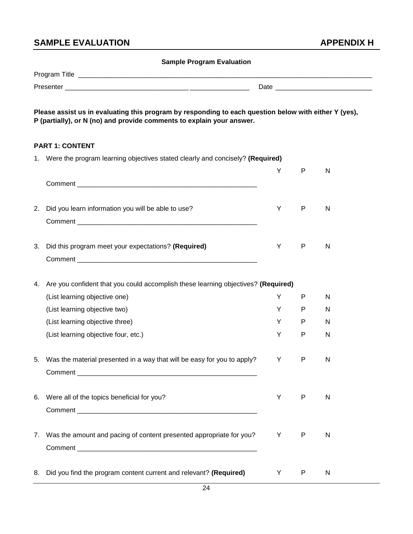# <span id="page-26-0"></span>**SAMPLE EVALUATION APPENDIX H**

<span id="page-26-1"></span>

|    | <b>Sample Program Evaluation</b>                                                                                                                                               |     |              |    |
|----|--------------------------------------------------------------------------------------------------------------------------------------------------------------------------------|-----|--------------|----|
|    |                                                                                                                                                                                |     |              |    |
|    |                                                                                                                                                                                |     |              |    |
|    | Please assist us in evaluating this program by responding to each question below with either Y (yes),<br>P (partially), or N (no) and provide comments to explain your answer. |     |              |    |
|    | <b>PART 1: CONTENT</b>                                                                                                                                                         |     |              |    |
|    | 1. Were the program learning objectives stated clearly and concisely? (Required)                                                                                               | Y   | P            | N  |
|    |                                                                                                                                                                                |     |              |    |
|    | 2. Did you learn information you will be able to use?                                                                                                                          | Y   | P            | N  |
|    | 3. Did this program meet your expectations? (Required)                                                                                                                         | Y   | P            | N  |
| 4. | Are you confident that you could accomplish these learning objectives? (Required)                                                                                              |     |              |    |
|    | (List learning objective one)                                                                                                                                                  | Y   | P            | N  |
|    | (List learning objective two)                                                                                                                                                  | Y   | P            | N  |
|    | (List learning objective three)                                                                                                                                                | Y   | P            | N  |
|    | (List learning objective four, etc.)                                                                                                                                           | Y   | $\mathsf{P}$ | N  |
|    | 5. Was the material presented in a way that will be easy for you to apply?                                                                                                     | Y N | P.           | N. |
|    | 6. Were all of the topics beneficial for you?                                                                                                                                  | Y   | P            | N  |
|    | 7. Was the amount and pacing of content presented appropriate for you?                                                                                                         | Y   | P            | N  |
|    | 8. Did you find the program content current and relevant? (Required)                                                                                                           | Y   | $\mathsf{P}$ | N  |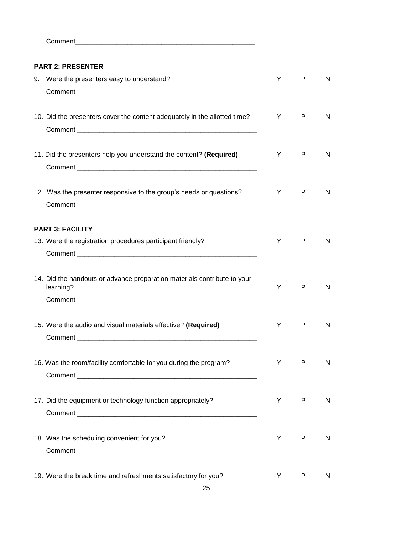Comment\_\_\_\_

#### **PART 2: PRESENTER**

| 9. Were the presenters easy to understand?                                            | Y | P            | N |  |
|---------------------------------------------------------------------------------------|---|--------------|---|--|
| 10. Did the presenters cover the content adequately in the allotted time?             | Y | $\mathsf{P}$ | N |  |
| 11. Did the presenters help you understand the content? (Required)                    | Y | P            | N |  |
| 12. Was the presenter responsive to the group's needs or questions?                   | Y | P            | N |  |
| <b>PART 3: FACILITY</b>                                                               |   |              |   |  |
| 13. Were the registration procedures participant friendly?                            | Y | P            | N |  |
|                                                                                       |   |              |   |  |
| 14. Did the handouts or advance preparation materials contribute to your<br>learning? | Y | P            | N |  |
|                                                                                       |   |              |   |  |
| 15. Were the audio and visual materials effective? (Required)                         | Y | P            | N |  |
|                                                                                       |   |              |   |  |
| 16. Was the room/facility comfortable for you during the program?                     | Y | P            | N |  |
|                                                                                       |   |              |   |  |
| 17. Did the equipment or technology function appropriately?                           | Y | P            | N |  |
|                                                                                       |   |              |   |  |
| 18. Was the scheduling convenient for you?                                            | Y | P            | N |  |
|                                                                                       |   |              |   |  |
| 19. Were the break time and refreshments satisfactory for you?                        | Y | P            | N |  |